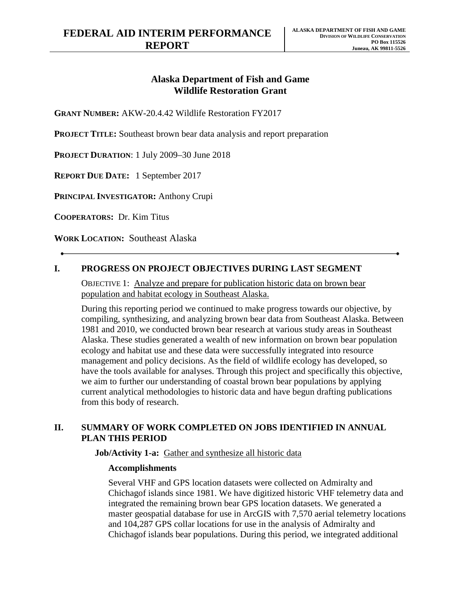# **Alaska Department of Fish and Game Wildlife Restoration Grant**

**GRANT NUMBER:** AKW-20.4.42 Wildlife Restoration FY2017

**PROJECT TITLE:** Southeast brown bear data analysis and report preparation

**PROJECT DURATION**: 1 July 2009–30 June 2018

**REPORT DUE DATE:** 1 September 2017

**PRINCIPAL INVESTIGATOR:** Anthony Crupi

**COOPERATORS:** Dr. Kim Titus

**WORK LOCATION:** Southeast Alaska

## **I. PROGRESS ON PROJECT OBJECTIVES DURING LAST SEGMENT**

OBJECTIVE 1: Analyze and prepare for publication historic data on brown bear population and habitat ecology in Southeast Alaska.

During this reporting period we continued to make progress towards our objective, by compiling, synthesizing, and analyzing brown bear data from Southeast Alaska. Between 1981 and 2010, we conducted brown bear research at various study areas in Southeast Alaska. These studies generated a wealth of new information on brown bear population ecology and habitat use and these data were successfully integrated into resource management and policy decisions. As the field of wildlife ecology has developed, so have the tools available for analyses. Through this project and specifically this objective, we aim to further our understanding of coastal brown bear populations by applying current analytical methodologies to historic data and have begun drafting publications from this body of research.

## **II. SUMMARY OF WORK COMPLETED ON JOBS IDENTIFIED IN ANNUAL PLAN THIS PERIOD**

### **Job/Activity 1-a:** Gather and synthesize all historic data

### **Accomplishments**

Several VHF and GPS location datasets were collected on Admiralty and Chichagof islands since 1981. We have digitized historic VHF telemetry data and integrated the remaining brown bear GPS location datasets. We generated a master geospatial database for use in ArcGIS with 7,570 aerial telemetry locations and 104,287 GPS collar locations for use in the analysis of Admiralty and Chichagof islands bear populations. During this period, we integrated additional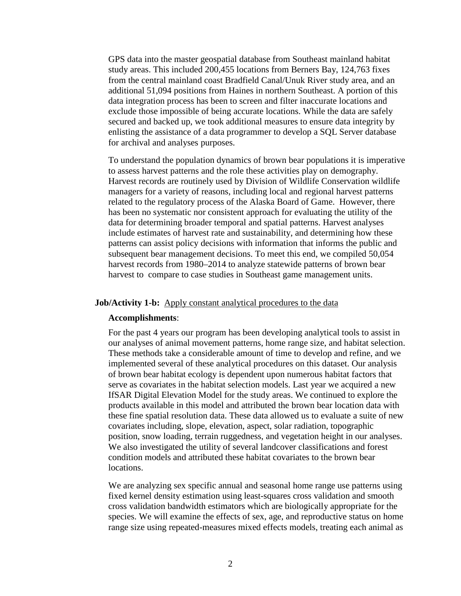GPS data into the master geospatial database from Southeast mainland habitat study areas. This included 200,455 locations from Berners Bay, 124,763 fixes from the central mainland coast Bradfield Canal/Unuk River study area, and an additional 51,094 positions from Haines in northern Southeast. A portion of this data integration process has been to screen and filter inaccurate locations and exclude those impossible of being accurate locations. While the data are safely secured and backed up, we took additional measures to ensure data integrity by enlisting the assistance of a data programmer to develop a SQL Server database for archival and analyses purposes.

To understand the population dynamics of brown bear populations it is imperative to assess harvest patterns and the role these activities play on demography. Harvest records are routinely used by Division of Wildlife Conservation wildlife managers for a variety of reasons, including local and regional harvest patterns related to the regulatory process of the Alaska Board of Game. However, there has been no systematic nor consistent approach for evaluating the utility of the data for determining broader temporal and spatial patterns. Harvest analyses include estimates of harvest rate and sustainability, and determining how these patterns can assist policy decisions with information that informs the public and subsequent bear management decisions. To meet this end, we compiled 50,054 harvest records from 1980–2014 to analyze statewide patterns of brown bear harvest to compare to case studies in Southeast game management units.

### **Job/Activity 1-b:** Apply constant analytical procedures to the data

#### **Accomplishments**:

For the past 4 years our program has been developing analytical tools to assist in our analyses of animal movement patterns, home range size, and habitat selection. These methods take a considerable amount of time to develop and refine, and we implemented several of these analytical procedures on this dataset. Our analysis of brown bear habitat ecology is dependent upon numerous habitat factors that serve as covariates in the habitat selection models. Last year we acquired a new IfSAR Digital Elevation Model for the study areas. We continued to explore the products available in this model and attributed the brown bear location data with these fine spatial resolution data. These data allowed us to evaluate a suite of new covariates including, slope, elevation, aspect, solar radiation, topographic position, snow loading, terrain ruggedness, and vegetation height in our analyses. We also investigated the utility of several landcover classifications and forest condition models and attributed these habitat covariates to the brown bear locations.

We are analyzing sex specific annual and seasonal home range use patterns using fixed kernel density estimation using least-squares cross validation and smooth cross validation bandwidth estimators which are biologically appropriate for the species. We will examine the effects of sex, age, and reproductive status on home range size using repeated-measures mixed effects models, treating each animal as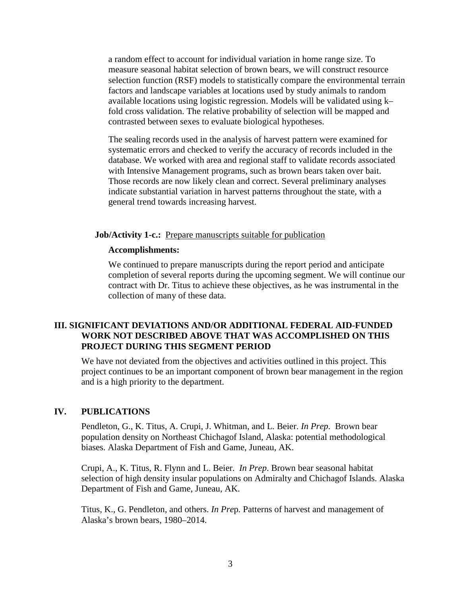a random effect to account for individual variation in home range size. To measure seasonal habitat selection of brown bears, we will construct resource selection function (RSF) models to statistically compare the environmental terrain factors and landscape variables at locations used by study animals to random available locations using logistic regression. Models will be validated using k– fold cross validation. The relative probability of selection will be mapped and contrasted between sexes to evaluate biological hypotheses.

The sealing records used in the analysis of harvest pattern were examined for systematic errors and checked to verify the accuracy of records included in the database. We worked with area and regional staff to validate records associated with Intensive Management programs, such as brown bears taken over bait. Those records are now likely clean and correct. Several preliminary analyses indicate substantial variation in harvest patterns throughout the state, with a general trend towards increasing harvest.

### **Job/Activity 1-c.:** Prepare manuscripts suitable for publication

### **Accomplishments:**

We continued to prepare manuscripts during the report period and anticipate completion of several reports during the upcoming segment. We will continue our contract with Dr. Titus to achieve these objectives, as he was instrumental in the collection of many of these data.

## **III. SIGNIFICANT DEVIATIONS AND/OR ADDITIONAL FEDERAL AID-FUNDED WORK NOT DESCRIBED ABOVE THAT WAS ACCOMPLISHED ON THIS PROJECT DURING THIS SEGMENT PERIOD**

We have not deviated from the objectives and activities outlined in this project. This project continues to be an important component of brown bear management in the region and is a high priority to the department.

## **IV. PUBLICATIONS**

Pendleton, G., K. Titus, A. Crupi, J. Whitman, and L. Beier. *In Prep*. Brown bear population density on Northeast Chichagof Island, Alaska: potential methodological biases. Alaska Department of Fish and Game, Juneau, AK.

Crupi, A., K. Titus, R. Flynn and L. Beier. *In Prep*. Brown bear seasonal habitat selection of high density insular populations on Admiralty and Chichagof Islands. Alaska Department of Fish and Game, Juneau, AK.

Titus, K., G. Pendleton, and others. *In Pre*p*.* Patterns of harvest and management of Alaska's brown bears, 1980–2014.